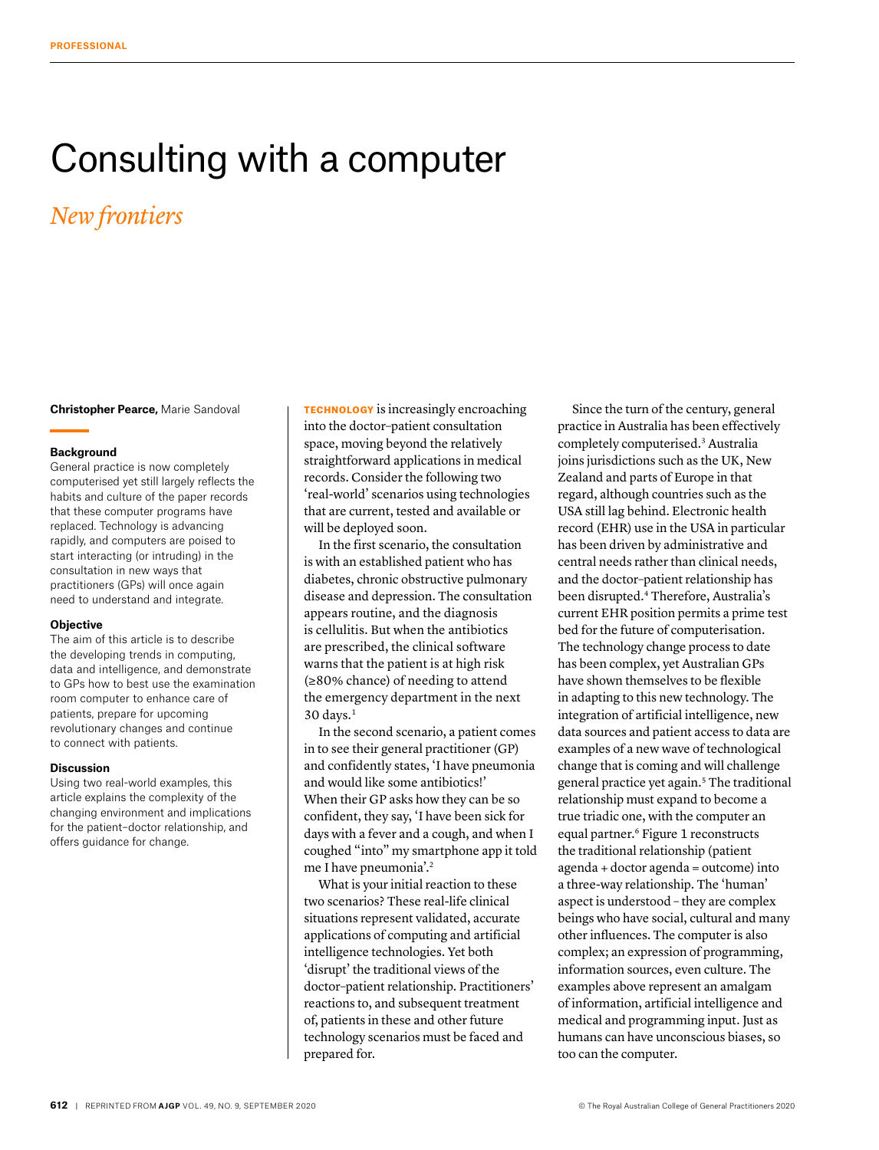# Consulting with a computer

## *New frontiers*

**Christopher Pearce,** Marie Sandoval

### **Background**

General practice is now completely computerised yet still largely reflects the habits and culture of the paper records that these computer programs have replaced. Technology is advancing rapidly, and computers are poised to start interacting (or intruding) in the consultation in new ways that practitioners (GPs) will once again need to understand and integrate.

#### **Objective**

The aim of this article is to describe the developing trends in computing, data and intelligence, and demonstrate to GPs how to best use the examination room computer to enhance care of patients, prepare for upcoming revolutionary changes and continue to connect with patients.

#### **Discussion**

Using two real-world examples, this article explains the complexity of the changing environment and implications for the patient–doctor relationship, and offers guidance for change.

TECHNOLOGY is increasingly encroaching into the doctor–patient consultation space, moving beyond the relatively straightforward applications in medical records. Consider the following two 'real-world' scenarios using technologies that are current, tested and available or will be deployed soon.

In the first scenario, the consultation is with an established patient who has diabetes, chronic obstructive pulmonary disease and depression. The consultation appears routine, and the diagnosis is cellulitis. But when the antibiotics are prescribed, the clinical software warns that the patient is at high risk (≥80% chance) of needing to attend the emergency department in the next  $30$  days. $<sup>1</sup>$ </sup>

In the second scenario, a patient comes in to see their general practitioner (GP) and confidently states, 'I have pneumonia and would like some antibiotics!' When their GP asks how they can be so confident, they say, 'I have been sick for days with a fever and a cough, and when I coughed "into" my smartphone app it told me I have pneumonia'.2

What is your initial reaction to these two scenarios? These real-life clinical situations represent validated, accurate applications of computing and artificial intelligence technologies. Yet both 'disrupt' the traditional views of the doctor–patient relationship. Practitioners' reactions to, and subsequent treatment of, patients in these and other future technology scenarios must be faced and prepared for.

Since the turn of the century, general practice in Australia has been effectively completely computerised.3 Australia joins jurisdictions such as the UK, New Zealand and parts of Europe in that regard, although countries such as the USA still lag behind. Electronic health record (EHR) use in the USA in particular has been driven by administrative and central needs rather than clinical needs, and the doctor–patient relationship has been disrupted.4 Therefore, Australia's current EHR position permits a prime test bed for the future of computerisation. The technology change process to date has been complex, yet Australian GPs have shown themselves to be flexible in adapting to this new technology. The integration of artificial intelligence, new data sources and patient access to data are examples of a new wave of technological change that is coming and will challenge general practice yet again.5 The traditional relationship must expand to become a true triadic one, with the computer an equal partner.<sup>6</sup> Figure 1 reconstructs the traditional relationship (patient agenda + doctor agenda = outcome) into a three-way relationship. The 'human' aspect is understood – they are complex beings who have social, cultural and many other influences. The computer is also complex; an expression of programming, information sources, even culture. The examples above represent an amalgam of information, artificial intelligence and medical and programming input. Just as humans can have unconscious biases, so too can the computer.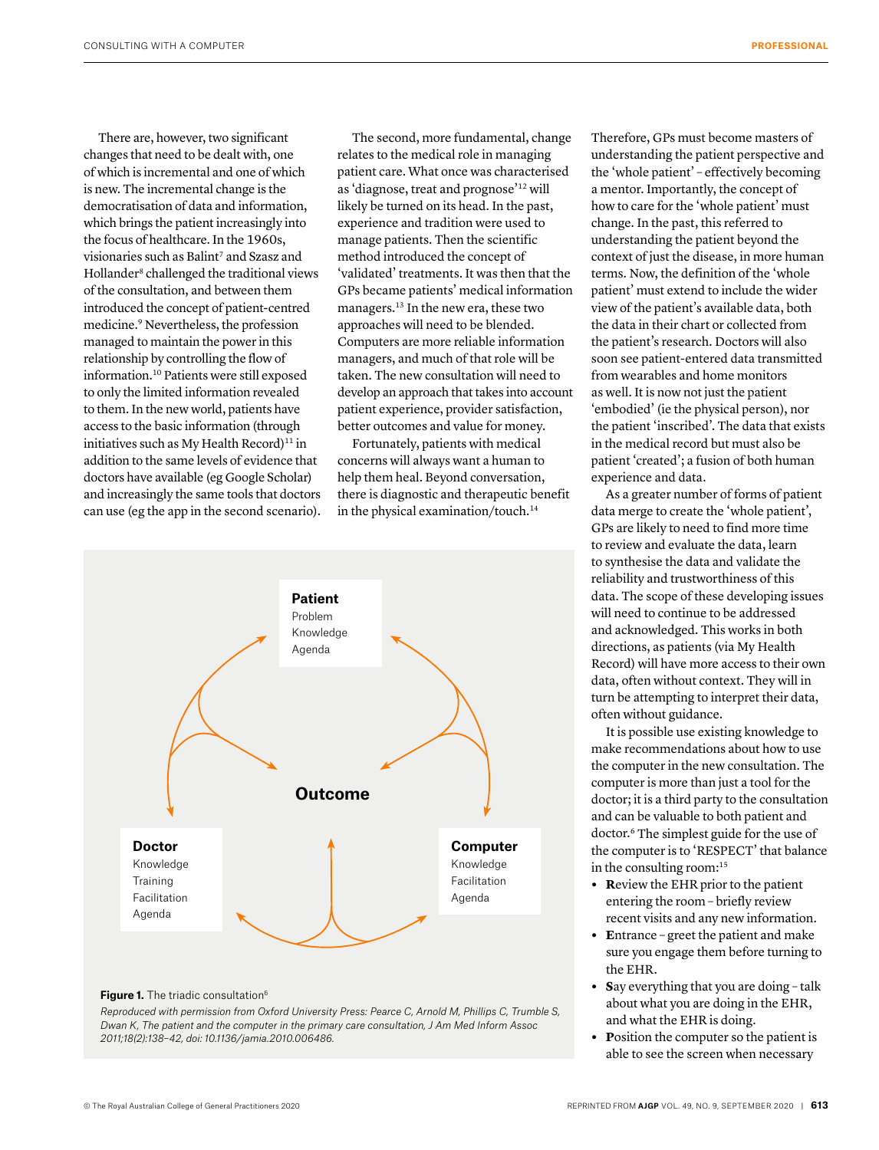There are, however, two significant changes that need to be dealt with, one of which is incremental and one of which is new. The incremental change is the democratisation of data and information, which brings the patient increasingly into the focus of healthcare. In the 1960s, visionaries such as Balint<sup>7</sup> and Szasz and Hollander<sup>8</sup> challenged the traditional views of the consultation, and between them introduced the concept of patient-centred medicine.9 Nevertheless, the profession managed to maintain the power in this relationship by controlling the flow of information.10 Patients were still exposed to only the limited information revealed to them. In the new world, patients have access to the basic information (through initiatives such as My Health Record) $11$  in addition to the same levels of evidence that doctors have available (eg Google Scholar) and increasingly the same tools that doctors can use (eg the app in the second scenario).

The second, more fundamental, change relates to the medical role in managing patient care. What once was characterised as 'diagnose, treat and prognose'12 will likely be turned on its head. In the past, experience and tradition were used to manage patients. Then the scientific method introduced the concept of 'validated' treatments. It was then that the GPs became patients' medical information managers.13 In the new era, these two approaches will need to be blended. Computers are more reliable information managers, and much of that role will be taken. The new consultation will need to develop an approach that takes into account patient experience, provider satisfaction, better outcomes and value for money.

Fortunately, patients with medical concerns will always want a human to help them heal. Beyond conversation, there is diagnostic and therapeutic benefit in the physical examination/touch.<sup>14</sup>



#### **Figure 1.** The triadic consultation<sup>6</sup>

*Reproduced with permission from Oxford University Press: Pearce C, Arnold M, Phillips C, Trumble S, Dwan K, The patient and the computer in the primary care consultation, J Am Med Inform Assoc 2011;18(2):138–42, doi: 10.1136/jamia.2010.006486.*

Therefore, GPs must become masters of understanding the patient perspective and the 'whole patient' – effectively becoming a mentor. Importantly, the concept of how to care for the 'whole patient' must change. In the past, this referred to understanding the patient beyond the context of just the disease, in more human terms. Now, the definition of the 'whole patient' must extend to include the wider view of the patient's available data, both the data in their chart or collected from the patient's research. Doctors will also soon see patient-entered data transmitted from wearables and home monitors as well. It is now not just the patient 'embodied' (ie the physical person), nor the patient 'inscribed'. The data that exists in the medical record but must also be patient 'created'; a fusion of both human experience and data.

As a greater number of forms of patient data merge to create the 'whole patient', GPs are likely to need to find more time to review and evaluate the data, learn to synthesise the data and validate the reliability and trustworthiness of this data. The scope of these developing issues will need to continue to be addressed and acknowledged. This works in both directions, as patients (via My Health Record) will have more access to their own data, often without context. They will in turn be attempting to interpret their data, often without guidance.

It is possible use existing knowledge to make recommendations about how to use the computer in the new consultation. The computer is more than just a tool for the doctor; it is a third party to the consultation and can be valuable to both patient and doctor.<sup>6</sup> The simplest guide for the use of the computer is to 'RESPECT' that balance in the consulting room:15

- **• R**eview the EHR prior to the patient entering the room – briefly review recent visits and any new information.
- **• E**ntrance greet the patient and make sure you engage them before turning to the EHR.
- **• S**ay everything that you are doing talk about what you are doing in the EHR, and what the EHR is doing.
- **• P**osition the computer so the patient is able to see the screen when necessary